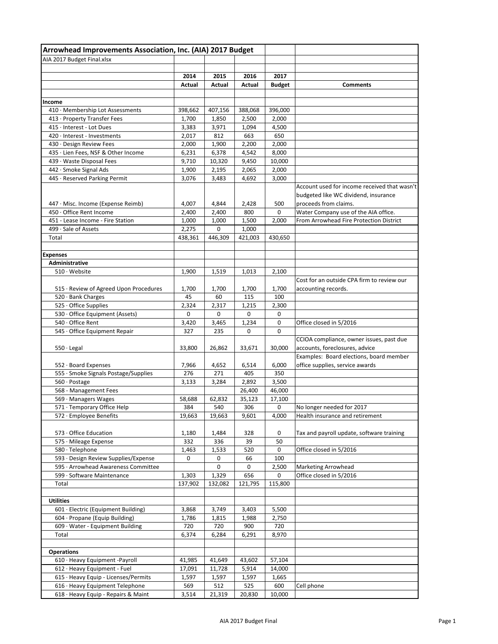| Arrowhead Improvements Association, Inc. (AIA) 2017 Budget    |                |            |                |               |                                                                            |
|---------------------------------------------------------------|----------------|------------|----------------|---------------|----------------------------------------------------------------------------|
| AIA 2017 Budget Final.xlsx                                    |                |            |                |               |                                                                            |
|                                                               |                |            |                |               |                                                                            |
|                                                               | 2014           | 2015       | 2016           | 2017          |                                                                            |
|                                                               | Actual         | Actual     | Actual         | <b>Budget</b> | <b>Comments</b>                                                            |
| Income                                                        |                |            |                |               |                                                                            |
| 410 · Membership Lot Assessments                              | 398,662        | 407,156    | 388,068        | 396,000       |                                                                            |
| 413 · Property Transfer Fees                                  | 1,700          | 1,850      | 2,500          | 2,000         |                                                                            |
| 415 · Interest - Lot Dues                                     | 3,383          | 3,971      | 1,094          | 4,500         |                                                                            |
| 420 · Interest - Investments                                  | 2,017          | 812        | 663            | 650           |                                                                            |
| 430 · Design Review Fees                                      | 2,000          | 1,900      | 2,200          | 2,000         |                                                                            |
| 435 · Lien Fees, NSF & Other Income                           | 6,231          | 6,378      | 4,542          | 8,000         |                                                                            |
| 439 · Waste Disposal Fees                                     | 9,710          | 10,320     | 9,450          | 10,000        |                                                                            |
| 442 · Smoke Signal Ads                                        | 1,900          | 2,195      | 2,065          | 2,000         |                                                                            |
| 445 · Reserved Parking Permit                                 | 3,076          | 3,483      | 4,692          | 3,000         |                                                                            |
|                                                               |                |            |                |               | Account used for income received that wasn't                               |
|                                                               |                |            |                |               | budgeted like WC dividend, insurance                                       |
| 447 · Misc. Income (Expense Reimb)                            | 4,007          | 4,844      | 2,428          | 500           | proceeds from claims.<br>Water Company use of the AIA office.              |
| 450 · Office Rent Income<br>451 - Lease Income - Fire Station | 2,400          | 2,400      | 800            | 0             | From Arrowhead Fire Protection District                                    |
| 499 · Sale of Assets                                          | 1,000<br>2,275 | 1,000<br>0 | 1,500<br>1,000 | 2,000         |                                                                            |
| Total                                                         | 438,361        | 446,309    | 421,003        | 430,650       |                                                                            |
|                                                               |                |            |                |               |                                                                            |
| <b>Expenses</b>                                               |                |            |                |               |                                                                            |
| Administrative                                                |                |            |                |               |                                                                            |
| $510 \cdot$ Website                                           | 1,900          | 1,519      | 1,013          | 2,100         |                                                                            |
|                                                               |                |            |                |               | Cost for an outside CPA firm to review our                                 |
| 515 · Review of Agreed Upon Procedures                        | 1,700          | 1,700      | 1,700          | 1,700         | accounting records.                                                        |
| 520 · Bank Charges                                            | 45             | 60         | 115            | 100           |                                                                            |
| 525 · Office Supplies                                         | 2,324          | 2,317      | 1,215          | 2,300         |                                                                            |
| 530 · Office Equipment (Assets)                               | 0              | 0          | 0              | 0             |                                                                            |
| 540 · Office Rent                                             | 3,420          | 3,465      | 1,234          | 0             | Office closed in 5/2016                                                    |
| 545 · Office Equipment Repair                                 | 327            | 235        | 0              | 0             |                                                                            |
|                                                               | 33,800         | 26,862     |                | 30,000        | CCIOA compliance, owner issues, past due<br>accounts, foreclosures, advice |
| $550 \cdot$ Legal                                             |                |            | 33,671         |               | Examples: Board elections, board member                                    |
| 552 · Board Expenses                                          | 7,966          | 4,652      | 6,514          | 6,000         | office supplies, service awards                                            |
| 555 · Smoke Signals Postage/Supplies                          | 276            | 271        | 405            | 350           |                                                                            |
| 560 · Postage                                                 | 3,133          | 3,284      | 2,892          | 3,500         |                                                                            |
| 568 - Management Fees                                         |                |            | 26,400         | 46,000        |                                                                            |
| 569 · Managers Wages                                          | 58,688         | 62,832     | 35,123         | 17,100        |                                                                            |
| 571 · Temporary Office Help                                   | 384            | 540        | 306            | 0             | No longer needed for 2017                                                  |
| 572 · Employee Benefits                                       | 19,663         | 19,663     | 9,601          | 4,000         | Health insurance and retirement                                            |
|                                                               |                |            |                |               |                                                                            |
| 573 · Office Education                                        | 1,180          | 1,484      | 328            | 0             | Tax and payroll update, software training                                  |
| 575 · Mileage Expense                                         | 332            | 336        | 39             | 50            |                                                                            |
| 580 · Telephone                                               | 1,463          | 1,533      | 520            | 0             | Office closed in 5/2016                                                    |
| 593 · Design Review Supplies/Expense                          | 0              | 0          | 66             | 100           |                                                                            |
| 595 · Arrowhead Awareness Committee                           |                | 0          | 0              | 2,500         | <b>Marketing Arrowhead</b>                                                 |
| 599 · Software Maintenance                                    | 1,303          | 1,329      | 656            | 0             | Office closed in 5/2016                                                    |
| Total                                                         | 137,902        | 132,082    | 121,795        | 115,800       |                                                                            |
| <b>Utilities</b>                                              |                |            |                |               |                                                                            |
| 601 · Electric (Equipment Building)                           | 3,868          | 3,749      | 3,403          | 5,500         |                                                                            |
| 604 · Propane (Equip Building)                                | 1,786          | 1,815      | 1,988          | 2,750         |                                                                            |
| 609 · Water - Equipment Building                              | 720            | 720        | 900            | 720           |                                                                            |
| Total                                                         | 6,374          | 6,284      | 6,291          | 8,970         |                                                                            |
|                                                               |                |            |                |               |                                                                            |
| <b>Operations</b>                                             |                |            |                |               |                                                                            |
| 610 · Heavy Equipment -Payroll                                | 41,985         | 41,649     | 43,602         | 57,104        |                                                                            |
| 612 · Heavy Equipment - Fuel                                  | 17,091         | 11,728     | 5,914          | 14,000        |                                                                            |
| 615 · Heavy Equip - Licenses/Permits                          | 1,597          | 1,597      | 1,597          | 1,665         |                                                                            |
| 616 · Heavy Equipment Telephone                               | 569            | 512        | 525            | 600           | Cell phone                                                                 |
| 618 · Heavy Equip - Repairs & Maint                           | 3,514          | 21,319     | 20,830         | 10,000        |                                                                            |